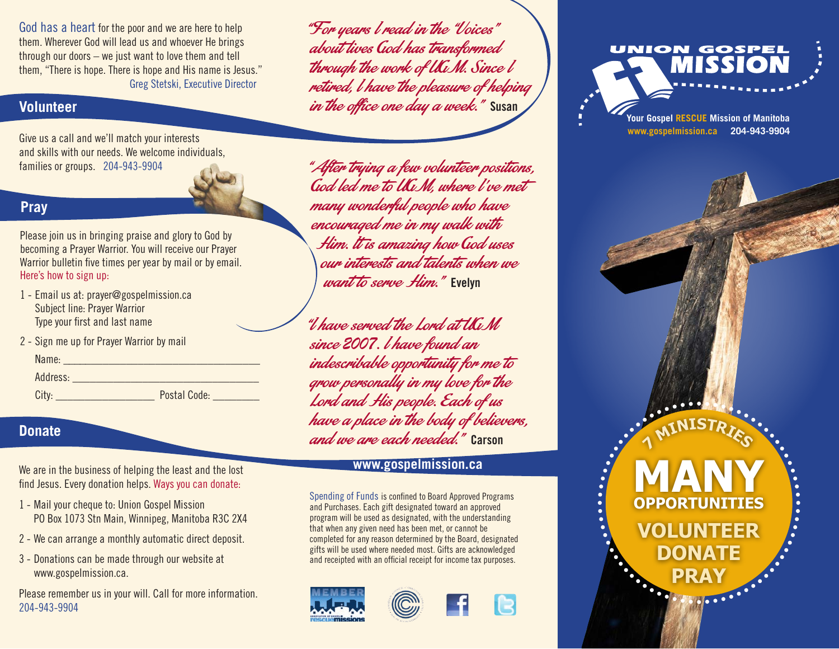God has a heart for the poor and we are here to help them. Wherever God will lead us and whoever He brings through our doors – we just want to love them and tell them, "There is hope. There is hope and His name is Jesus." Greg Stetski, Executive Director

# **Volunteer**

Give us a call and we'll match your interests and skills with our needs. We welcome individuals, families or groups. 204-943-9904

# **Pray**

Please join us in bringing praise and glory to God by becoming a Prayer Warrior. You will receive our Prayer Warrior bulletin five times per year by mail or by email. Here's how to sign up:

- 1 Email us at: prayer@gospelmission.ca Subject line: Prayer Warrior Type your first and last name
- 2 Sign me up for Prayer Warrior by mail

| Name:    |              |
|----------|--------------|
| Address: |              |
| City:    | Postal Code: |

### **Donate**

We are in the business of helping the least and the lost find Jesus. Every donation helps. Ways you can donate:

- 1 Mail your cheque to: Union Gospel Mission PO Box 1073 Stn Main, Winnipeg, Manitoba R3C 2X4
- 2 We can arrange a monthly automatic direct deposit.
- 3 Donations can be made through our website at www.gospelmission.ca.

Please remember us in your will. Call for more information. 204-943-9904

"For years I read in the "Voices" about lives God has transformed through the work of UGM. Since l retired, I have the pleasure of helping in the office one day a week." **Susan**

"After trying a few volunteer positions, God led me to UGM, where I've met many wonderful people who have encouraged me in my walk with Him. It is amazing how God uses our interests and talents when we want to serve Him." **Evelyn**

"I have served the Lord at UGM since *2007*. I have found an indescribable opportunity for me to grow personally in my love for the Lord and His people. Each of us have a place in the body of believers, and we are each needed." **Carson**

# **www.gospelmission.ca**

Spending of Funds is confined to Board Approved Programs and Purchases. Each gift designated toward an approved program will be used as designated, with the understanding that when any given need has been met, or cannot be completed for any reason determined by the Board, designated gifts will be used where needed most. Gifts are acknowledged and receipted with an official receipt for income tax purposes.





UNION GOSPEI

> **Your Gospel RESCUE Mission of Manitoba www.gospelmission.ca 204-943-9904**

> > **7**

........

**<sup>M</sup>INISTRIE<sup>S</sup>**

**MANY**

**OPPORTUNITIES**

**VOLUNTEER**

**DONATE**

**PRAY**